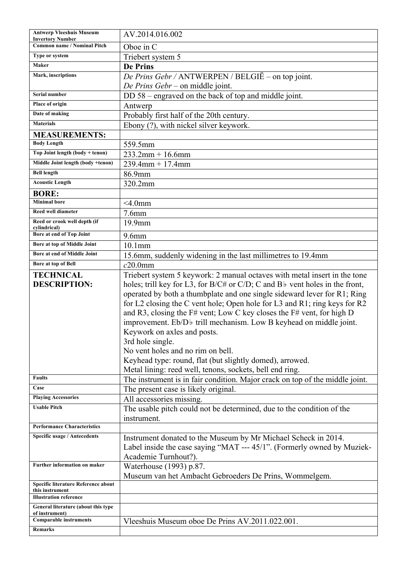| <b>Antwerp Vleeshuis Museum</b><br><b>Invertory Number</b> | AV.2014.016.002                                                                    |
|------------------------------------------------------------|------------------------------------------------------------------------------------|
| <b>Common name / Nominal Pitch</b>                         | Oboe in C                                                                          |
| Type or system                                             | Triebert system 5                                                                  |
| Maker                                                      | <b>De Prins</b>                                                                    |
| Mark, inscriptions                                         | De Prins Gebr / ANTWERPEN / BELGIË – on top joint.                                 |
|                                                            | De Prins Gebr – on middle joint.                                                   |
| Serial number                                              | DD 58 – engraved on the back of top and middle joint.                              |
| Place of origin                                            | Antwerp                                                                            |
| Date of making                                             | Probably first half of the 20th century.                                           |
| <b>Materials</b>                                           | Ebony (?), with nickel silver keywork.                                             |
| <b>MEASUREMENTS:</b>                                       |                                                                                    |
| <b>Body Length</b>                                         | 559.5mm                                                                            |
| Top Joint length (body + tenon)                            | $233.2$ mm + 16.6mm                                                                |
| Middle Joint length (body +tenon)                          | $239.4$ mm + 17.4mm                                                                |
| <b>Bell length</b>                                         | 86.9mm                                                                             |
| <b>Acoustic Length</b>                                     | 320.2mm                                                                            |
| <b>BORE:</b>                                               |                                                                                    |
| <b>Minimal bore</b>                                        | $<$ 4.0mm                                                                          |
| <b>Reed well diameter</b>                                  | $7.6$ mm                                                                           |
| Reed or crook well depth (if<br>cylindrical)               | 19.9mm                                                                             |
| Bore at end of Top Joint                                   | $9.6$ mm                                                                           |
| Bore at top of Middle Joint                                | $10.1$ mm                                                                          |
| Bore at end of Middle Joint                                | 15.6mm, suddenly widening in the last millimetres to 19.4mm                        |
| Bore at top of Bell                                        | $c20.0$ mm                                                                         |
| <b>TECHNICAL</b>                                           | Triebert system 5 keywork: 2 manual octaves with metal insert in the tone          |
| <b>DESCRIPTION:</b>                                        | holes; trill key for L3, for B/C# or C/D; C and B $\flat$ vent holes in the front, |
|                                                            | operated by both a thumbplate and one single sideward lever for R1; Ring           |
|                                                            | for L2 closing the C vent hole; Open hole for L3 and R1; ring keys for R2          |
|                                                            | and R3, closing the F# vent; Low C key closes the F# vent, for high D              |
|                                                            | improvement. Eb/D <sub>b</sub> trill mechanism. Low B keyhead on middle joint.     |
|                                                            | Keywork on axles and posts.                                                        |
|                                                            | 3rd hole single.                                                                   |
|                                                            | No vent holes and no rim on bell.                                                  |
|                                                            | Keyhead type: round, flat (but slightly domed), arrowed.                           |
|                                                            | Metal lining: reed well, tenons, sockets, bell end ring.                           |
| <b>Faults</b>                                              | The instrument is in fair condition. Major crack on top of the middle joint.       |
| Case                                                       | The present case is likely original.                                               |
| <b>Playing Accessories</b>                                 | All accessories missing.                                                           |
| <b>Usable Pitch</b>                                        | The usable pitch could not be determined, due to the condition of the              |
|                                                            | instrument.                                                                        |
| <b>Performance Characteristics</b>                         |                                                                                    |
| Specific usage / Antecedents                               | Instrument donated to the Museum by Mr Michael Scheck in 2014.                     |
|                                                            | Label inside the case saying "MAT --- 45/1". (Formerly owned by Muziek-            |
|                                                            | Academie Turnhout?).                                                               |
| Further information on maker                               | Waterhouse (1993) p.87.                                                            |
|                                                            | Museum van het Ambacht Gebroeders De Prins, Wommelgem.                             |
| Specific literature Reference about<br>this instrument     |                                                                                    |
| <b>Illustration reference</b>                              |                                                                                    |
| General literature (about this type<br>of instrument)      |                                                                                    |
| <b>Comparable instruments</b>                              | Vleeshuis Museum oboe De Prins AV.2011.022.001.                                    |
| <b>Remarks</b>                                             |                                                                                    |